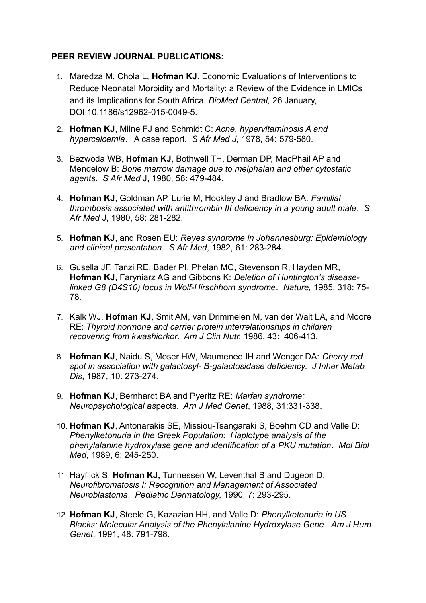#### **PEER REVIEW JOURNAL PUBLICATIONS:**

- 1. Maredza M, Chola L, **Hofman KJ**. Economic Evaluations of Interventions to Reduce Neonatal Morbidity and Mortality: a Review of the Evidence in LMICs and its Implications for South Africa. *BioMed Central,* 26 January, DOI:10.1186/s12962-015-0049-5.
- 2. **Hofman KJ**, Milne FJ and Schmidt C: *Acne, hypervitaminosis A and hypercalcemia*. A case report. *S Afr Med J,* 1978, 54: 579-580.
- 3. Bezwoda WB, **Hofman KJ**, Bothwell TH, Derman DP, MacPhail AP and Mendelow B: *Bone marrow damage due to melphalan and other cytostatic agents*. *S Afr Med* J, 1980, 58: 479-484.
- 4. **Hofman KJ**, Goldman AP, Lurie M, Hockley J and Bradlow BA: *Familial thrombosis associated with antithrombin III deficiency in a young adult male*. *S Afr Med* J, 1980, 58: 281-282.
- 5. **Hofman KJ**, and Rosen EU: *Reyes syndrome in Johannesburg: Epidemiology and clinical presentation*. *S Afr Med*, 1982, 61: 283-284.
- 6. Gusella JF, Tanzi RE, Bader PI, Phelan MC, Stevenson R, Hayden MR, **Hofman KJ**, Faryniarz AG and Gibbons K: *Deletion of Huntington's diseaselinked G8 (D4S10) locus in Wolf-Hirschhorn syndrome*. *Nature,* 1985, 318: 75- 78.
- 7. Kalk WJ, **Hofman KJ**, Smit AM, van Drimmelen M, van der Walt LA, and Moore RE: *Thyroid hormone and carrier protein interrelationships in children recovering from kwashiorkor*. *Am J Clin Nutr,* 1986, 43: 406-413.
- 8. **Hofman KJ**, Naidu S, Moser HW, Maumenee IH and Wenger DA: *Cherry red spot in association with galactosyl- B-galactosidase deficiency*. *J Inher Metab Dis*, 1987, 10: 273-274.
- 9. **Hofman KJ**, Bernhardt BA and Pyeritz RE: *Marfan syndrome: Neuropsychological as*pects. *Am J Med Genet*, 1988, 31:331-338.
- 10. **Hofman KJ**, Antonarakis SE, Missiou-Tsangaraki S, Boehm CD and Valle D: *Phenylketonuria in the Greek Population: Haplotype analysis of the phenylalanine hydroxylase gene and identification of a PKU mutation*. *Mol Biol Med*, 1989, 6: 245-250.
- 11. Hayflick S, **Hofman KJ,** Tunnessen W, Leventhal B and Dugeon D: *Neurofibromatosis I: Recognition and Management of Associated Neuroblastoma*. *Pediatric Dermatology*, 1990, 7: 293-295.
- 12. **Hofman KJ**, Steele G, Kazazian HH, and Valle D: *Phenylketonuria in US Blacks: Molecular Analysis of the Phenylalanine Hydroxylase Gene*. *Am J Hum Genet*, 1991, 48: 791-798.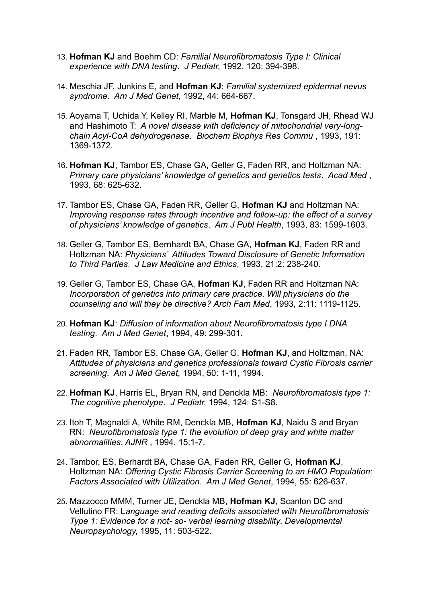- 13. **Hofman KJ** and Boehm CD: *Familial Neurofibromatosis Type I: Clinical experience with DNA testing*. *J Pediatr*, 1992, 120: 394-398.
- 14. Meschia JF, Junkins E, and **Hofman KJ**: *Familial systemized epidermal nevus syndrome*. *Am J Med Genet*, 1992, 44: 664-667.
- 15. Aoyama T, Uchida Y, Kelley RI, Marble M, **Hofman KJ**, Tonsgard JH, Rhead WJ and Hashimoto T: *A novel disease with deficiency of mitochondrial very-longchain Acyl-CoA dehydrogenase*. *Biochem Biophys Res Commu* , 1993, 191: 1369-1372.
- 16. **Hofman KJ**, Tambor ES, Chase GA, Geller G, Faden RR, and Holtzman NA: *Primary care physicians' knowledge of genetics and genetics tests*. *Acad Med* , 1993, 68: 625-632.
- 17. Tambor ES, Chase GA, Faden RR, Geller G, **Hofman KJ** and Holtzman NA: *Improving response rates through incentive and follow-up: the effect of a survey of physicians' knowledge of genetics*. *Am J Publ Health*, 1993, 83: 1599-1603.
- 18. Geller G, Tambor ES, Bernhardt BA, Chase GA, **Hofman KJ**, Faden RR and Holtzman NA: *Physicians' Attitudes Toward Disclosure of Genetic Information to Third Parties*. *J Law Medicine and Ethics*, 1993, 21:2: 238-240.
- 19. Geller G, Tambor ES, Chase GA, **Hofman KJ**, Faden RR and Holtzman NA: *Incorporation of genetics into primary care practice. Will physicians do the counseling and will they be directive? Arch Fam Med*, 1993, 2:11: 1119-1125.
- 20. **Hofman KJ**: *Diffusion of information about Neurofibromatosis type I DNA testing*. *Am J Med Genet*, 1994, 49: 299-301.
- 21. Faden RR, Tambor ES, Chase GA, Geller G, **Hofman KJ**, and Holtzman, NA: *Attitudes of physicians and genetics professionals toward Cystic Fibrosis carrier screening*. *Am J Med Genet,* 1994, 50: 1-11, 1994.
- 22. **Hofman KJ**, Harris EL, Bryan RN, and Denckla MB: *Neurofibromatosis type 1: The cognitive phenotype*. *J Pediatr*, 1994, 124: S1-S8.
- 23. Itoh T, Magnaldi A, White RM, Denckla MB, **Hofman KJ**, Naidu S and Bryan RN: *Neurofibromatosis type 1: the evolution of deep gray and white matter abnormalities*. *AJNR* , 1994, 15:1-7.
- 24. Tambor, ES, Berhardt BA, Chase GA, Faden RR, Geller G, **Hofman KJ**, Holtzman NA: *Offering Cystic Fibrosis Carrier Screening to an HMO Population: Factors Associated with Utilization*. *Am J Med Genet*, 1994, 55: 626-637.
- 25. Mazzocco MMM, Turner JE, Denckla MB, **Hofman KJ**, Scanlon DC and Vellutino FR: L*anguage and reading deficits associated with Neurofibromatosis Type 1: Evidence for a not- so- verbal learning disability*. *Developmental Neuropsychology*, 1995, 11: 503-522.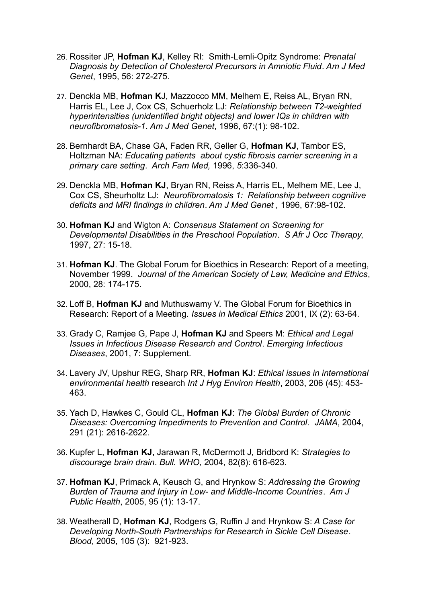- 26. Rossiter JP, **Hofman KJ**, Kelley RI: Smith-Lemli-Opitz Syndrome: *Prenatal Diagnosis by Detection of Cholesterol Precursors in Amniotic Fluid*. *Am J Med Genet*, 1995, 56: 272-275.
- 27. [Denckla MB,](http://www.ncbi.nlm.nih.gov/entrez/query.fcgi?db=pubmed&cmd=Search&itool=pubmed_Abstract&term=%22Denckla+MB%22%5BAuthor%5D) **[Hofman K](http://www.ncbi.nlm.nih.gov/entrez/query.fcgi?db=pubmed&cmd=Search&itool=pubmed_Abstract&term=%22Hofman+K%22%5BAuthor%5D)**J, [Mazzocco MM,](http://www.ncbi.nlm.nih.gov/entrez/query.fcgi?db=pubmed&cmd=Search&itool=pubmed_Abstract&term=%22Mazzocco+MM%22%5BAuthor%5D) [Melhem E,](http://www.ncbi.nlm.nih.gov/entrez/query.fcgi?db=pubmed&cmd=Search&itool=pubmed_Abstract&term=%22Melhem+E%22%5BAuthor%5D) [Reiss AL,](http://www.ncbi.nlm.nih.gov/entrez/query.fcgi?db=pubmed&cmd=Search&itool=pubmed_Abstract&term=%22Reiss+AL%22%5BAuthor%5D) [Bryan RN,](http://www.ncbi.nlm.nih.gov/entrez/query.fcgi?db=pubmed&cmd=Search&itool=pubmed_Abstract&term=%22Bryan+RN%22%5BAuthor%5D) [Harris EL,](http://www.ncbi.nlm.nih.gov/entrez/query.fcgi?db=pubmed&cmd=Search&itool=pubmed_Abstract&term=%22Harris+EL%22%5BAuthor%5D) [Lee J,](http://www.ncbi.nlm.nih.gov/entrez/query.fcgi?db=pubmed&cmd=Search&itool=pubmed_Abstract&term=%22Lee+J%22%5BAuthor%5D) [Cox CS,](http://www.ncbi.nlm.nih.gov/entrez/query.fcgi?db=pubmed&cmd=Search&itool=pubmed_Abstract&term=%22Cox+CS%22%5BAuthor%5D) Schuerholz LJ: *Relationship between T2-weighted hyperintensities (unidentified bright objects) and lower IQs in children with neurofibromatosis-1*. *[Am J Med Genet](javascript:AL_get(this,%20)*, 1996, 67:(1): 98-102.
- 28. Bernhardt BA, Chase GA, Faden RR, Geller G, **Hofman KJ**, Tambor ES, Holtzman NA: *Educating patients about cystic fibrosis carrier screening in a primary care setting*. *Arch Fam Med,* 1996, *5*:336-340.
- 29. Denckla MB, **Hofman KJ**, Bryan RN, Reiss A, Harris EL, Melhem ME, Lee J, Cox CS, Sheurholtz LJ: *Neurofibromatosis 1: Relationship between cognitive deficits and MRI findings in children*. *Am J Med Genet ,* 1996, 67:98-102.
- 30. **Hofman KJ** and Wigton A: *Consensus Statement on Screening for Developmental Disabilities in the Preschool Population*. *S Afr J Occ Therapy*, 1997, 27: 15-18.
- 31. **Hofman KJ**. The Global Forum for Bioethics in Research: Report of a meeting, November 1999. *Journal of the American Society of Law, Medicine and Ethics*, 2000, 28: 174-175.
- 32. Loff B, **Hofman KJ** and Muthuswamy V. The Global Forum for Bioethics in Research: Report of a Meeting. *Issues in Medical Ethics* 2001, IX (2): 63-64.
- 33. Grady C, Ramjee G, Pape J, **Hofman KJ** and Speers M: *Ethical and Legal Issues in Infectious Disease Research and Control*. *Emerging Infectious Diseases*, 2001, 7: Supplement.
- 34. Lavery JV, Upshur REG, Sharp RR, **Hofman KJ**: *Ethical issues in international environmental health* research *Int J Hyg Environ Health*, 2003, 206 (45): 453- 463.
- 35. Yach D, Hawkes C, Gould CL, **Hofman KJ**: *The Global Burden of Chronic Diseases: Overcoming Impediments to Prevention and Control*. *JAMA*, 2004, 291 (21): 2616-2622.
- 36. Kupfer L, **Hofman KJ,** Jarawan R, McDermott J, Bridbord K: *Strategies to discourage brain drain*. *Bull. WHO,* 2004, 82(8): 616-623.
- 37. **Hofman KJ**, Primack A, Keusch G, and Hrynkow S: *Addressing the Growing Burden of Trauma and Injury in Low- and Middle-Income Countries*. *Am J Public Health*, 2005, 95 (1): 13-17.
- 38. Weatherall D, **Hofman KJ**, Rodgers G, Ruffin J and Hrynkow S: *A Case for Developing North-South Partnerships for Research in Sickle Cell Disease*. *Blood*, 2005, 105 (3): 921-923.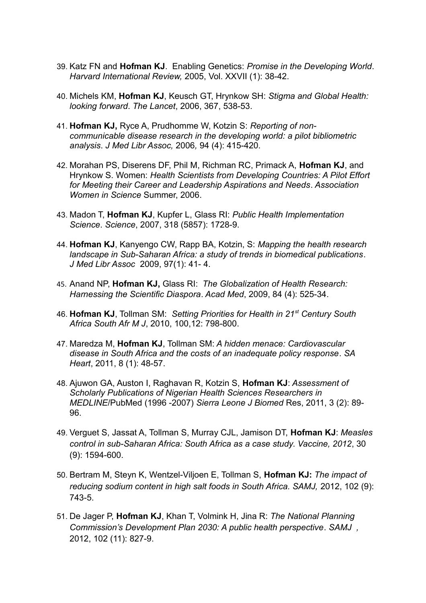- 39. Katz FN and **Hofman KJ**. Enabling Genetics: *Promise in the Developing World*. *Harvard International Review,* 2005, Vol. XXVII (1): 38-42.
- 40. Michels KM, **Hofman KJ**, Keusch GT, Hrynkow SH: *Stigma and Global Health: looking forward*. *The Lancet*, 2006, 367, 538-53.
- 41. **Hofman KJ,** Ryce A, Prudhomme W, Kotzin S: *Reporting of noncommunicable disease research in the developing world: a pilot bibliometric analysis*. *J Med Libr Assoc,* 2006*,* 94 (4): 415-420.
- 42. Morahan PS, Diserens DF, Phil M, Richman RC, Primack A, **Hofman KJ**, and Hrynkow S. Women: *Health Scientists from Developing Countries: A Pilot Effort for Meeting their Career and Leadership Aspirations and Needs*. *Association Women in Science* Summer, 2006.
- 43. Madon T, **Hofman KJ**, Kupfer L, Glass RI: *Public Health Implementation Science*. *Science*, 2007, 318 (5857): 1728-9.
- 44. **Hofman KJ**, Kanyengo CW, Rapp BA, Kotzin, S: *Mapping the health research landscape in Sub-Saharan Africa: a study of trends in biomedical publications*. *J Med Libr Assoc* 2009, 97(1): 41- 4.
- 45. Anand NP, **Hofman KJ,** Glass RI: *The Globalization of Health Research: Harnessing the Scientific Diaspora*. *Acad Med*, 2009, 84 (4): 525-34.
- 46. **Hofman KJ**, Tollman SM: *Setting Priorities for Health in 21st Century South Africa South Afr M J*, 2010, 100,12: 798-800.
- 47. Maredza M, **Hofman KJ**, Tollman SM: *A hidden menace: Cardiovascular disease in South Africa and the costs of an inadequate policy response*. *SA Heart*, 2011, 8 (1): 48-57.
- 48. Ajuwon GA, Auston I, Raghavan R, Kotzin S, **Hofman KJ**: *Assessment of Scholarly Publications of Nigerian Health Sciences Researchers in MEDLINE*/PubMed (1996 -2007) *Sierra Leone J Biomed* Res, 2011, 3 (2): 89- 96.
- 49. Verguet S, Jassat A, Tollman S, Murray CJL, Jamison DT, **Hofman KJ**: *Measles control in sub-Saharan Africa: South Africa as a case study*. *Vaccine, 2012*, 30 (9): 1594-600.
- 50. Bertram M, Steyn K, Wentzel-Viljoen E, Tollman S, **Hofman KJ:** *The impact of reducing sodium content in high salt foods in South Africa. SAMJ,* 2012, 102 (9): 743-5.
- 51. De Jager P, **Hofman KJ**, Khan T, Volmink H, Jina R: *The National Planning Commission's Development Plan 2030: A public health perspective*. *SAMJ ,* 2012, 102 (11): 827-9.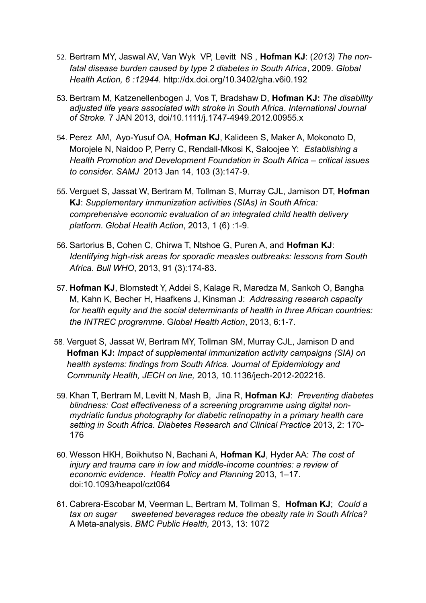- 52. Bertram MY, Jaswal AV, Van Wyk VP, Levitt NS , **Hofman KJ**: (*2013) The nonfatal disease burden caused by type 2 diabetes in South Africa*, 2009. *Global Health Action, 6 :12944.* <http://dx.doi.org/10.3402/gha.v6i0.192>
- 53. Bertram M, Katzenellenbogen J, Vos T, Bradshaw D, **Hofman KJ:** *The disability adjusted life years associated with stroke in South Africa*. *International Journal of Stroke.* 7 JAN 2013, doi/10.1111/j.1747-4949.2012.00955.x
- 54. Perez AM, Ayo-Yusuf OA, **Hofman KJ**, Kalideen S, Maker A, Mokonoto D, Morojele N, Naidoo P, Perry C, Rendall-Mkosi K, Saloojee Y: *Establishing a Health Promotion and Development Foundation in South Africa – critical issues to consider*. *SAMJ* 2013 Jan 14, 103 (3):147-9.
- 55. Verguet S, Jassat W, Bertram M, Tollman S, Murray CJL, Jamison DT, **Hofman KJ**: *Supplementary immunization activities (SIAs) in South Africa: comprehensive economic evaluation of an integrated child health delivery platform*. *Global Health Action*, 2013, 1 (6) :1-9.
- 56. Sartorius B, Cohen C, Chirwa T, Ntshoe G, Puren A, and **Hofman KJ**: *Identifying high-risk areas for sporadic measles outbreaks: lessons from South Africa*. *Bull WHO*, 2013, 91 (3):174-83.
- 57. **Hofman KJ**, Blomstedt Y, Addei S, Kalage R, Maredza M, Sankoh O, Bangha M, Kahn K, Becher H, Haafkens J, Kinsman J: *Addressing research capacity for health equity and the social determinants of health in three African countries: the INTREC programme*. G*lobal Health Action*, 2013, 6:1-7.
- 58. Verguet S, Jassat W, Bertram MY, Tollman SM, Murray CJL, Jamison D and **Hofman KJ:** *Impact of supplemental immunization activity campaigns (SIA) on health systems: findings from South Africa. Journal of Epidemiology and Community Health, JECH on line,* 2013*,* 10.1136/jech-2012-202216.
- 59. Khan T, Bertram M, Levitt N, Mash B, Jina R, **Hofman KJ**: *Preventing diabetes blindness: Cost effectiveness of a screening programme using digital nonmydriatic fundus photography for diabetic retinopathy in a primary health care setting in South Africa. Diabetes Research and Clinical Practice* 2013, 2: 170- 176
- 60. Wesson HKH, Boikhutso N, Bachani A, **Hofman KJ**, Hyder AA: *The cost of injury and trauma care in low and middle-income countries: a review of economic evidence*. *Health Policy and Planning* 2013, 1–17. doi:10.1093/heapol/czt064
- 61. Cabrera-Escobar M, Veerman L, Bertram M, Tollman S, **Hofman KJ**; *Could a tax on sugar sweetened beverages reduce the obesity rate in South Africa?* A Meta-analysis. *BMC Public Health,* 2013, 13: 1072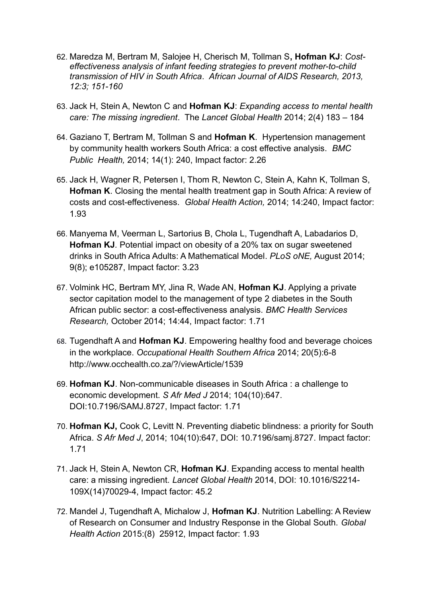- 62. Maredza M, Bertram M, Salojee H, Cherisch M, Tollman S**, Hofman KJ**: *Costeffectiveness analysis of infant feeding strategies to prevent mother-to-child transmission of HIV in South Africa*. *African Journal of AIDS Research, 2013, 12:3; 151-160*
- 63. Jack H, Stein A, Newton C and **Hofman KJ**: *Expanding access to mental health care: The missing ingredient*. The *Lancet Global Health* 2014; 2(4) 183 – 184
- 64. Gaziano T, Bertram M, Tollman S and **Hofman K**. Hypertension management by community health workers South Africa: a cost effective analysis. *BMC Public Health,* 2014; 14(1): 240, Impact factor: 2.26
- 65. Jack H, Wagner R, Petersen I, Thom R, Newton C, Stein A, Kahn K, Tollman S, **Hofman K**. Closing the mental health treatment gap in South Africa: A review of costs and cost-effectiveness. *Global Health Action,* 2014; 14:240, Impact factor: 1.93
- 66. Manyema M, Veerman L, Sartorius B, Chola L, Tugendhaft A, Labadarios D, **Hofman KJ***.* Potential impact on obesity of a 20% tax on sugar sweetened drinks in South Africa Adults: A Mathematical Model. *PLoS oNE,* August 2014; 9(8); e105287, Impact factor: 3.23
- 67. Volmink HC, Bertram MY, Jina R, Wade AN, **Hofman KJ**. Applying a private sector capitation model to the management of type 2 diabetes in the South African public sector: a cost-effectiveness analysis. *BMC Health Services Research,* October 2014; 14:44, Impact factor: 1.71
- 68. Tugendhaft A and **Hofman KJ**. Empowering healthy food and beverage choices in the workplace. *Occupational Health Southern Africa* 2014; 20(5):6-8 <http://www.occhealth.co.za/?/viewArticle/1539>
- 69. **Hofman KJ**. Non-communicable diseases in South Africa : a challenge to economic development. *S Afr Med J* 2014; 104(10):647. DOI:10.7196/SAMJ.8727, Impact factor: 1.71
- 70. **Hofman KJ,** Cook C, Levitt N. Preventing diabetic blindness: a priority for South Africa. *S Afr Med J*, 2014; 104(10):647, DOI: 10.7196/samj.8727. Impact factor: 1.71
- 71. Jack H, Stein A, Newton CR, **Hofman KJ**. Expanding access to mental health care: a missing ingredient. *Lancet Global Health* 2014, DOI: 10.1016/S2214- 109X(14)70029-4, Impact factor: 45.2
- 72. Mandel J, Tugendhaft A, Michalow J, **Hofman KJ**. Nutrition Labelling: A Review of Research on Consumer and Industry Response in the Global South. *Global Health Action* 2015:(8) 25912, Impact factor: 1.93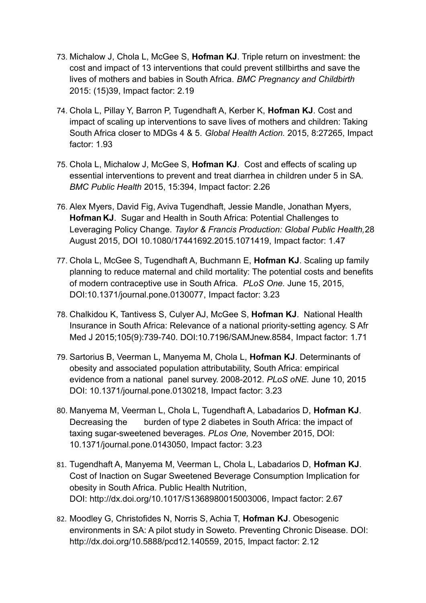- 73. Michalow J, Chola L, McGee S, **Hofman KJ**. Triple return on investment: the cost and impact of 13 interventions that could prevent stillbirths and save the lives of mothers and babies in South Africa. *BMC Pregnancy and Childbirth*  2015: (15)39, Impact factor: 2.19
- 74. Chola L, Pillay Y, Barron P, Tugendhaft A, Kerber K, **Hofman KJ**. Cost and impact of scaling up interventions to save lives of mothers and children: Taking South Africa closer to MDGs 4 & 5. *Global Health Action.* 2015, 8:27265, Impact factor: 1.93
- 75. Chola L, Michalow J, McGee S, **Hofman KJ**. Cost and effects of scaling up essential interventions to prevent and treat diarrhea in children under 5 in SA. *BMC Public Health* 2015, 15:394, Impact factor: 2.26
- 76. Alex Myers, David Fig, Aviva Tugendhaft, Jessie Mandle, Jonathan Myers, **Hofman KJ**. Sugar and Health in South Africa: Potential Challenges to Leveraging Policy Change*. Taylor & Francis Production: Global Public Health,*28 August 2015, DOI 10.1080/17441692.2015.1071419, Impact factor: 1.47
- 77. Chola L, McGee S, Tugendhaft A, Buchmann E, **Hofman KJ**. Scaling up family planning to reduce maternal and child mortality: The potential costs and benefits of modern contraceptive use in South Africa. *PLoS One.* June 15, 2015, DOI:10.1371/journal.pone.0130077, Impact factor: 3.23
- 78. Chalkidou K, Tantivess S, Culyer AJ, McGee S, **Hofman KJ**. National Health Insurance in South Africa: Relevance of a national priority-setting agency. S Afr Med J 2015;105(9):739-740. DOI:10.7196/SAMJnew.8584, Impact factor: 1.71
- 79. Sartorius B, Veerman L, Manyema M, Chola L, **Hofman KJ**. Determinants of obesity and associated population attributability, South Africa: empirical evidence from a national panel survey. 2008-2012. *PLoS oNE.* June 10, 2015 DOI: 10.1371/journal.pone.0130218, Impact factor: 3.23
- 80. Manyema M, Veerman L, Chola L, Tugendhaft A, Labadarios D, **Hofman KJ**. Decreasing the burden of type 2 diabetes in South Africa: the impact of taxing sugar-sweetened beverages. *PLos One,* November 2015, DOI: 10.1371/journal.pone.0143050, Impact factor: 3.23
- 81. Tugendhaft A, Manyema M, Veerman L, Chola L, Labadarios D, **Hofman KJ**. Cost of Inaction on Sugar Sweetened Beverage Consumption Implication for obesity in South Africa. Public Health Nutrition, DOI: [http://dx.doi.org/10.1017/S1368980015003006,](http://dx.doi.org/10.1017/S1368980015003006) Impact factor: 2.67
- 82. Moodley G, Christofides N, Norris S, Achia T, **Hofman KJ**. Obesogenic environments in SA: A pilot study in Soweto. Preventing Chronic Disease. DOI: [http://dx.doi.org/10.5888/pcd12.140559,](http://dx.doi.org/10.5888/pcd12.140559) 2015, Impact factor: 2.12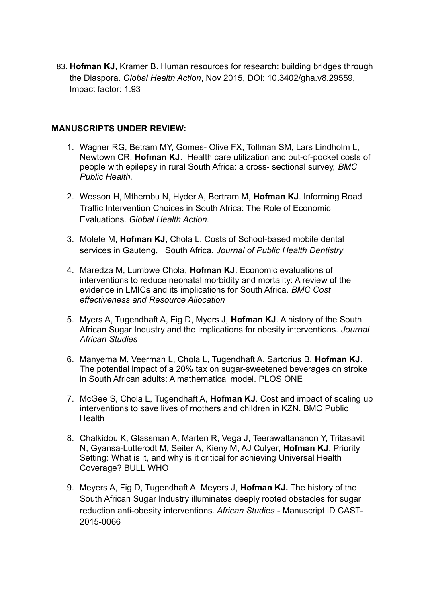83. **Hofman KJ**, Kramer B. Human resources for research: building bridges through the Diaspora. *Global Health Action*, Nov 2015, DOI: 10.3402/gha.v8.29559, Impact factor: 1.93

#### **MANUSCRIPTS UNDER REVIEW:**

- 1. Wagner RG, Betram MY, Gomes- Olive FX, Tollman SM, Lars Lindholm L, Newtown CR, **Hofman KJ**. Health care utilization and out-of-pocket costs of people with epilepsy in rural South Africa: a cross- sectional survey, *BMC Public Health.*
- 2. Wesson H, Mthembu N, Hyder A, Bertram M, **Hofman KJ**. Informing Road Traffic Intervention Choices in South Africa: The Role of Economic Evaluations. *Global Health Action.*
- 3. Molete M, **Hofman KJ**, Chola L. Costs of School-based mobile dental services in Gauteng, South Africa. *Journal of Public Health Dentistry*
- 4. Maredza M, Lumbwe Chola, **Hofman KJ**. Economic evaluations of interventions to reduce neonatal morbidity and mortality: A review of the evidence in LMICs and its implications for South Africa. *BMC Cost effectiveness and Resource Allocation*
- 5. Myers A, Tugendhaft A, Fig D, Myers J, **Hofman KJ**. A history of the South African Sugar Industry and the implications for obesity interventions. *Journal African Studies*
- 6. Manyema M, Veerman L, Chola L, Tugendhaft A, Sartorius B, **Hofman KJ**. The potential impact of a 20% tax on sugar-sweetened beverages on stroke in South African adults: A mathematical model. PLOS ONE
- 7. McGee S, Chola L, Tugendhaft A, **Hofman KJ**. Cost and impact of scaling up interventions to save lives of mothers and children in KZN. BMC Public **Health**
- 8. Chalkidou K, Glassman A, Marten R, Vega J, Teerawattananon Y, Tritasavit N, Gyansa-Lutterodt M, Seiter A, Kieny M, AJ Culyer, **Hofman KJ**. Priority Setting: What is it, and why is it critical for achieving Universal Health Coverage? BULL WHO
- 9. Meyers A, Fig D, Tugendhaft A, Meyers J, **Hofman KJ.** The history of the South African Sugar Industry illuminates deeply rooted obstacles for sugar reduction anti-obesity interventions*. African Studies* - Manuscript ID CAST-2015-0066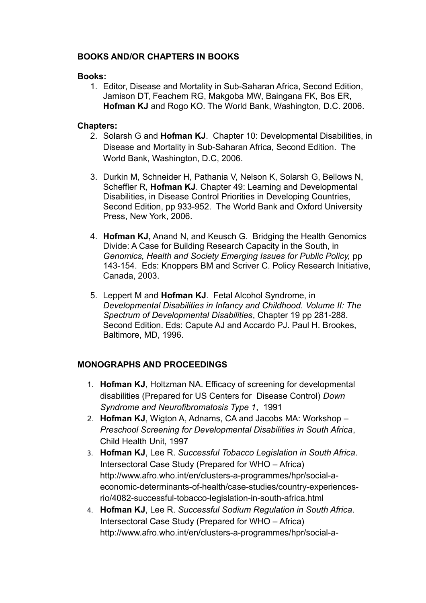## **BOOKS AND/OR CHAPTERS IN BOOKS**

#### **Books:**

1. Editor, Disease and Mortality in Sub-Saharan Africa, Second Edition, Jamison DT, Feachem RG, Makgoba MW, Baingana FK, Bos ER, **Hofman KJ** and Rogo KO. The World Bank, Washington, D.C. 2006.

#### **Chapters:**

- 2. Solarsh G and **Hofman KJ**. Chapter 10: Developmental Disabilities, in Disease and Mortality in Sub-Saharan Africa, Second Edition. The World Bank, Washington, D.C, 2006.
- 3. Durkin M, Schneider H, Pathania V, Nelson K, Solarsh G, Bellows N, Scheffler R, **Hofman KJ**. Chapter 49: Learning and Developmental Disabilities, in Disease Control Priorities in Developing Countries, Second Edition, pp 933-952. The World Bank and Oxford University Press, New York, 2006.
- 4. **Hofman KJ,** Anand N, and Keusch G. Bridging the Health Genomics Divide: A Case for Building Research Capacity in the South, in *Genomics, Health and Society Emerging Issues for Public Policy,* pp 143-154. Eds: Knoppers BM and Scriver C. Policy Research Initiative, Canada, 2003.
- 5. Leppert M and **Hofman KJ**. Fetal Alcohol Syndrome, in *Developmental Disabilities in Infancy and Childhood. Volume II: The Spectrum of Developmental Disabilities*, Chapter 19 pp 281-288. Second Edition. Eds: Capute AJ and Accardo PJ. Paul H. Brookes, Baltimore, MD, 1996.

## **MONOGRAPHS AND PROCEEDINGS**

- 1. **Hofman KJ**, Holtzman NA. Efficacy of screening for developmental disabilities (Prepared for US Centers for Disease Control) *Down Syndrome and Neurofibromatosis Type 1*, 1991
- 2. **Hofman KJ**, Wigton A, Adnams, CA and Jacobs MA: Workshop *Preschool Screening for Developmental Disabilities in South Africa*, Child Health Unit, 1997
- 3. **Hofman KJ**, Lee R. *Successful Tobacco Legislation in South Africa*. Intersectoral Case Study (Prepared for WHO – Africa) [http://www.afro.who.int/en/clusters-a-programmes/hpr/social-a](http://www.afro.who.int/en/clusters-a-programmes/hpr/social-a-economic-determinants-of-health/case-studies/country-experiences-rio/4082-successful-tobacco-legislation-in-south-africa.html)[economic-determinants-of-health/case-studies/country-experiences](http://www.afro.who.int/en/clusters-a-programmes/hpr/social-a-economic-determinants-of-health/case-studies/country-experiences-rio/4082-successful-tobacco-legislation-in-south-africa.html)[rio/4082-successful-tobacco-legislation-in-south-africa.html](http://www.afro.who.int/en/clusters-a-programmes/hpr/social-a-economic-determinants-of-health/case-studies/country-experiences-rio/4082-successful-tobacco-legislation-in-south-africa.html)
- 4. **Hofman KJ**, Lee R. *Successful Sodium Regulation in South Africa*. Intersectoral Case Study (Prepared for WHO – Africa) [http://www.afro.who.int/en/clusters-a-programmes/hpr/social-a-](http://www.afro.who.int/en/clusters-a-programmes/hpr/social-a-economic-determinants-of-health/case-studies/country-experiences-rio/4085-successful-sodium-regulation-in-south-africa-.html)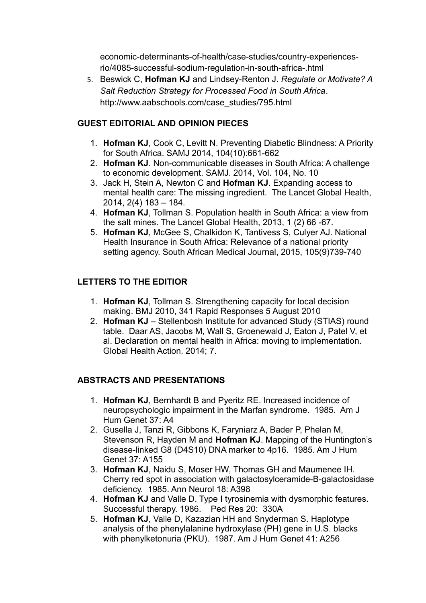[economic-determinants-of-health/case-studies/country-experiences](http://www.afro.who.int/en/clusters-a-programmes/hpr/social-a-economic-determinants-of-health/case-studies/country-experiences-rio/4085-successful-sodium-regulation-in-south-africa-.html)[rio/4085-successful-sodium-regulation-in-south-africa-.html](http://www.afro.who.int/en/clusters-a-programmes/hpr/social-a-economic-determinants-of-health/case-studies/country-experiences-rio/4085-successful-sodium-regulation-in-south-africa-.html)

5. Beswick C, **Hofman KJ** and Lindsey-Renton J. *Regulate or Motivate? A Salt Reduction Strategy for Processed Food in South Africa*. [http://www.aabschools.com/case\\_studies/795.html](http://www.aabschools.com/case_studies/795.html)

# **GUEST EDITORIAL AND OPINION PIECES**

- 1. **Hofman KJ**, Cook C, Levitt N. Preventing Diabetic Blindness: A Priority for South Africa. SAMJ 2014, 104(10):661-662
- 2. **Hofman KJ**. Non-communicable diseases in South Africa: A challenge to economic development. SAMJ. 2014, Vol. 104, No. 10
- 3. Jack H, Stein A, Newton C and **Hofman KJ**. Expanding access to mental health care: The missing ingredient. The Lancet Global Health, 2014, 2(4) 183 – 184.
- 4. **Hofman KJ**, Tollman S. Population health in South Africa: a view from the salt mines. The Lancet Global Health, 2013, 1 (2) 66 -67.
- 5. **Hofman KJ**, McGee S, Chalkidon K, Tantivess S, Culyer AJ. National Health Insurance in South Africa: Relevance of a national priority setting agency. South African Medical Journal, 2015, 105(9)739-740

# **LETTERS TO THE EDITIOR**

- 1. **Hofman KJ**, Tollman S. Strengthening capacity for local decision making. BMJ 2010, 341 Rapid Responses 5 August 2010
- 2. **Hofman KJ** Stellenbosh Institute for advanced Study (STIAS) round table. Daar AS, Jacobs M, Wall S, Groenewald J, Eaton J, Patel V, et al. Declaration on mental health in Africa: moving to implementation. Global Health Action. 2014; 7.

## **ABSTRACTS AND PRESENTATIONS**

- 1. **Hofman KJ**, Bernhardt B and Pyeritz RE. Increased incidence of neuropsychologic impairment in the Marfan syndrome. 1985. Am J Hum Genet 37: A4
- 2. Gusella J, Tanzi R, Gibbons K, Faryniarz A, Bader P, Phelan M, Stevenson R, Hayden M and **Hofman KJ**. Mapping of the Huntington's disease-linked G8 (D4S10) DNA marker to 4p16. 1985. Am J Hum Genet 37: A155
- 3. **Hofman KJ**, Naidu S, Moser HW, Thomas GH and Maumenee IH. Cherry red spot in association with galactosylceramide-B-galactosidase deficiency. 1985. Ann Neurol 18: A398
- 4. **Hofman KJ** and Valle D. Type I tyrosinemia with dysmorphic features. Successful therapy. 1986. Ped Res 20: 330A
- 5. **Hofman KJ**, Valle D, Kazazian HH and Snyderman S. Haplotype analysis of the phenylalanine hydroxylase (PH) gene in U.S. blacks with phenylketonuria (PKU). 1987. Am J Hum Genet 41: A256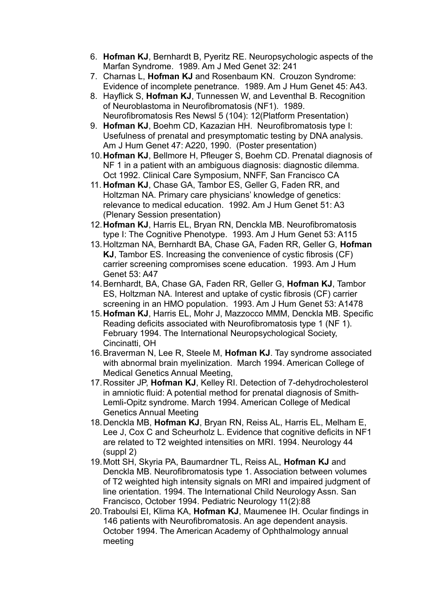- 6. **Hofman KJ**, Bernhardt B, Pyeritz RE. Neuropsychologic aspects of the Marfan Syndrome. 1989. Am J Med Genet 32: 241
- 7. Charnas L, **Hofman KJ** and Rosenbaum KN. Crouzon Syndrome: Evidence of incomplete penetrance. 1989. Am J Hum Genet 45: A43.
- 8. Hayflick S, **Hofman KJ**, Tunnessen W, and Leventhal B. Recognition of Neuroblastoma in Neurofibromatosis (NF1). 1989. Neurofibromatosis Res Newsl 5 (104): 12(Platform Presentation)
- 9. **Hofman KJ**, Boehm CD, Kazazian HH. Neurofibromatosis type I: Usefulness of prenatal and presymptomatic testing by DNA analysis. Am J Hum Genet 47: A220, 1990. (Poster presentation)
- 10.**Hofman KJ**, Bellmore H, Pfleuger S, Boehm CD. Prenatal diagnosis of NF 1 in a patient with an ambiguous diagnosis: diagnostic dilemma. Oct 1992. Clinical Care Symposium, NNFF, San Francisco CA
- 11. **Hofman KJ**, Chase GA, Tambor ES, Geller G, Faden RR, and Holtzman NA. Primary care physicians' knowledge of genetics: relevance to medical education. 1992. Am J Hum Genet 51: A3 (Plenary Session presentation)
- 12.**Hofman KJ**, Harris EL, Bryan RN, Denckla MB. Neurofibromatosis type I: The Cognitive Phenotype. 1993. Am J Hum Genet 53: A115
- 13.Holtzman NA, Bernhardt BA, Chase GA, Faden RR, Geller G, **Hofman KJ**, Tambor ES. Increasing the convenience of cystic fibrosis (CF) carrier screening compromises scene education. 1993. Am J Hum Genet 53: A47
- 14.Bernhardt, BA, Chase GA, Faden RR, Geller G, **Hofman KJ**, Tambor ES, Holtzman NA. Interest and uptake of cystic fibrosis (CF) carrier screening in an HMO population. 1993. Am J Hum Genet 53: A1478
- 15.**Hofman KJ**, Harris EL, Mohr J, Mazzocco MMM, Denckla MB. Specific Reading deficits associated with Neurofibromatosis type 1 (NF 1). February 1994. The International Neuropsychological Society, Cincinatti, OH
- 16.Braverman N, Lee R, Steele M, **Hofman KJ**. Tay syndrome associated with abnormal brain myelinization. March 1994. American College of Medical Genetics Annual Meeting,
- 17.Rossiter JP, **Hofman KJ**, Kelley RI. Detection of 7-dehydrocholesterol in amniotic fluid: A potential method for prenatal diagnosis of Smith-Lemli-Opitz syndrome. March 1994. American College of Medical Genetics Annual Meeting
- 18.Denckla MB, **Hofman KJ**, Bryan RN, Reiss AL, Harris EL, Melham E, Lee J, Cox C and Scheurholz L. Evidence that cognitive deficits in NF1 are related to T2 weighted intensities on MRI. 1994. Neurology 44 (suppl 2)
- 19.Mott SH, Skyria PA, Baumardner TL, Reiss AL, **Hofman KJ** and Denckla MB. Neurofibromatosis type 1. Association between volumes of T2 weighted high intensity signals on MRI and impaired judgment of line orientation. 1994. The International Child Neurology Assn. San Francisco, October 1994. Pediatric Neurology 11(2):88
- 20.Traboulsi EI, Klima KA, **Hofman KJ**, Maumenee IH. Ocular findings in 146 patients with Neurofibromatosis. An age dependent anaysis. October 1994. The American Academy of Ophthalmology annual meeting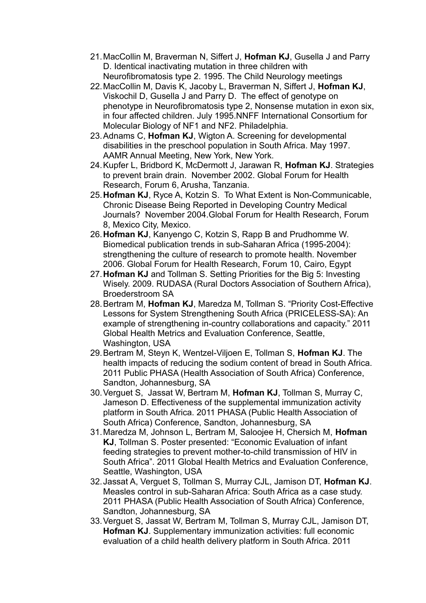- 21.MacCollin M, Braverman N, Siffert J, **Hofman KJ**, Gusella J and Parry D. Identical inactivating mutation in three children with Neurofibromatosis type 2. 1995. The Child Neurology meetings
- 22.MacCollin M, Davis K, Jacoby L, Braverman N, Siffert J, **Hofman KJ**, Viskochil D, Gusella J and Parry D. The effect of genotype on phenotype in Neurofibromatosis type 2, Nonsense mutation in exon six, in four affected children. July 1995.NNFF International Consortium for Molecular Biology of NF1 and NF2. Philadelphia.
- 23.Adnams C, **Hofman KJ**, Wigton A. Screening for developmental disabilities in the preschool population in South Africa. May 1997. AAMR Annual Meeting, New York, New York.
- 24.Kupfer L, Bridbord K, McDermott J, Jarawan R, **Hofman KJ**. Strategies to prevent brain drain. November 2002. Global Forum for Health Research, Forum 6, Arusha, Tanzania.
- 25.**Hofman KJ**, Ryce A, Kotzin S. To What Extent is Non-Communicable, Chronic Disease Being Reported in Developing Country Medical Journals? November 2004.Global Forum for Health Research, Forum 8, Mexico City, Mexico.
- 26.**Hofman KJ**, Kanyengo C, Kotzin S, Rapp B and Prudhomme W. Biomedical publication trends in sub-Saharan Africa (1995-2004): strengthening the culture of research to promote health. November 2006. Global Forum for Health Research, Forum 10, Cairo, Egypt
- 27.**Hofman KJ** and Tollman S. Setting Priorities for the Big 5: Investing Wisely. 2009. RUDASA (Rural Doctors Association of Southern Africa), Broederstroom SA
- 28.Bertram M, **Hofman KJ**, Maredza M, Tollman S. "Priority Cost-Effective Lessons for System Strengthening South Africa (PRICELESS-SA): An example of strengthening in-country collaborations and capacity." 2011 Global Health Metrics and Evaluation Conference, Seattle, Washington, USA
- 29.Bertram M, Steyn K, Wentzel-Viljoen E, Tollman S, **Hofman KJ**. The health impacts of reducing the sodium content of bread in South Africa. 2011 Public PHASA (Health Association of South Africa) Conference, Sandton, Johannesburg, SA
- 30.Verguet S, Jassat W, Bertram M, **Hofman KJ**, Tollman S, Murray C, Jameson D. Effectiveness of the supplemental immunization activity platform in South Africa. 2011 PHASA (Public Health Association of South Africa) Conference, Sandton, Johannesburg, SA
- 31.Maredza M, Johnson L, Bertram M, Saloojee H, Chersich M, **Hofman KJ**, Tollman S. Poster presented: "Economic Evaluation of infant feeding strategies to prevent mother-to-child transmission of HIV in South Africa". 2011 Global Health Metrics and Evaluation Conference, Seattle, Washington, USA
- 32.Jassat A, Verguet S, Tollman S, Murray CJL, Jamison DT, **Hofman KJ**. Measles control in sub-Saharan Africa: South Africa as a case study. 2011 PHASA (Public Health Association of South Africa) Conference, Sandton, Johannesburg, SA
- 33.Verguet S, Jassat W, Bertram M, Tollman S, Murray CJL, Jamison DT, **Hofman KJ**. Supplementary immunization activities: full economic evaluation of a child health delivery platform in South Africa. 2011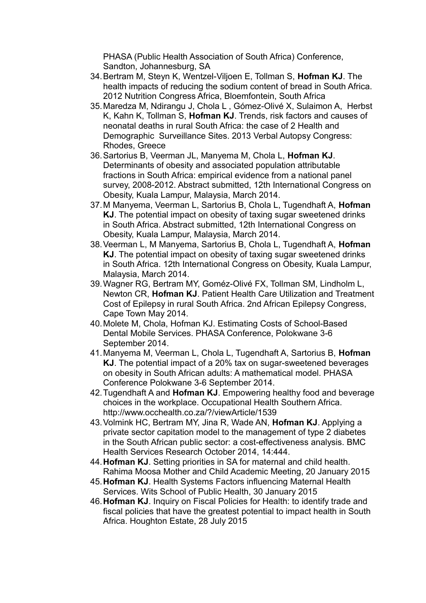PHASA (Public Health Association of South Africa) Conference, Sandton, Johannesburg, SA

- 34.Bertram M, Steyn K, Wentzel-Viljoen E, Tollman S, **Hofman KJ**. The health impacts of reducing the sodium content of bread in South Africa. 2012 Nutrition Congress Africa, Bloemfontein, South Africa
- 35.Maredza M, Ndirangu J, Chola L , Gómez-Olivé X, Sulaimon A, Herbst K, Kahn K, Tollman S, **Hofman KJ**. Trends, risk factors and causes of neonatal deaths in rural South Africa: the case of 2 Health and Demographic Surveillance Sites. 2013 Verbal Autopsy Congress: Rhodes, Greece
- 36.Sartorius B, Veerman JL, Manyema M, Chola L, **Hofman KJ**. Determinants of obesity and associated population attributable fractions in South Africa: empirical evidence from a national panel survey, 2008-2012. Abstract submitted, 12th International Congress on Obesity, Kuala Lampur, Malaysia, March 2014.
- 37.M Manyema, Veerman L, Sartorius B, Chola L, Tugendhaft A, **Hofman KJ**. The potential impact on obesity of taxing sugar sweetened drinks in South Africa. Abstract submitted, 12th International Congress on Obesity, Kuala Lampur, Malaysia, March 2014.
- 38.Veerman L, M Manyema, Sartorius B, Chola L, Tugendhaft A, **Hofman KJ**. The potential impact on obesity of taxing sugar sweetened drinks in South Africa. 12th International Congress on Obesity, Kuala Lampur, Malaysia, March 2014.
- 39.Wagner RG, Bertram MY, Goméz-Olivé FX, Tollman SM, Lindholm L, Newton CR, **Hofman KJ**. Patient Health Care Utilization and Treatment Cost of Epilepsy in rural South Africa. 2nd African Epilepsy Congress, Cape Town May 2014.
- 40.Molete M, Chola, Hofman KJ. Estimating Costs of School-Based Dental Mobile Services. PHASA Conference, Polokwane 3-6 September 2014.
- 41.Manyema M, Veerman L, Chola L, Tugendhaft A, Sartorius B, **Hofman KJ**. The potential impact of a 20% tax on sugar-sweetened beverages on obesity in South African adults: A mathematical model. PHASA Conference Polokwane 3-6 September 2014.
- 42.Tugendhaft A and **Hofman KJ**. Empowering healthy food and beverage choices in the workplace. Occupational Health Southern Africa. http://www.occhealth.co.za/?/viewArticle/1539
- 43.Volmink HC, Bertram MY, Jina R, Wade AN, **Hofman KJ**. Applying a private sector capitation model to the management of type 2 diabetes in the South African public sector: a cost-effectiveness analysis. BMC Health Services Research October 2014, 14:444.
- 44.**Hofman KJ**. Setting priorities in SA for maternal and child health. Rahima Moosa Mother and Child Academic Meeting, 20 January 2015
- 45.**Hofman KJ**. Health Systems Factors influencing Maternal Health Services. Wits School of Public Health, 30 January 2015
- 46.**Hofman KJ**. Inquiry on Fiscal Policies for Health: to identify trade and fiscal policies that have the greatest potential to impact health in South Africa. Houghton Estate, 28 July 2015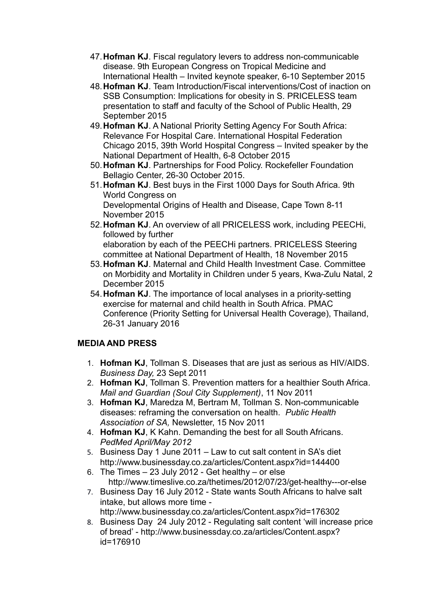- 47.**Hofman KJ**. Fiscal regulatory levers to address non-communicable disease. 9th European Congress on Tropical Medicine and International Health – Invited keynote speaker, 6-10 September 2015
- 48.**Hofman KJ**. Team Introduction/Fiscal interventions/Cost of inaction on SSB Consumption: Implications for obesity in S. PRICELESS team presentation to staff and faculty of the School of Public Health, 29 September 2015
- 49.**Hofman KJ**. A National Priority Setting Agency For South Africa: Relevance For Hospital Care. International Hospital Federation Chicago 2015, 39th World Hospital Congress – Invited speaker by the National Department of Health, 6-8 October 2015
- 50.**Hofman KJ**. Partnerships for Food Policy. Rockefeller Foundation Bellagio Center, 26-30 October 2015.
- 51.**Hofman KJ**. Best buys in the First 1000 Days for South Africa. 9th World Congress on Developmental Origins of Health and Disease, Cape Town 8-11 November 2015
- 52.**Hofman KJ**. An overview of all PRICELESS work, including PEECHi, followed by further elaboration by each of the PEECHi partners. PRICELESS Steering committee at National Department of Health, 18 November 2015
- 53.**Hofman KJ**. Maternal and Child Health Investment Case. Committee on Morbidity and Mortality in Children under 5 years, Kwa-Zulu Natal, 2 December 2015
- 54.**Hofman KJ**. The importance of local analyses in a priority-setting exercise for maternal and child health in South Africa. PMAC Conference (Priority Setting for Universal Health Coverage), Thailand, 26-31 January 2016

## **MEDIA AND PRESS**

- 1. **Hofman KJ**, Tollman S. Diseases that are just as serious as HIV/AIDS*. Business Day,* 23 Sept 2011
- 2. **Hofman KJ**, Tollman S. Prevention matters for a healthier South Africa*. Mail and Guardian (Soul City Supplement)*, 11 Nov 2011
- 3. **Hofman KJ**, Maredza M, Bertram M, Tollman S. Non-communicable diseases: reframing the conversation on health. *Public Health Association of SA,* Newsletter, 15 Nov 2011
- 4. **Hofman KJ**, K Kahn. Demanding the best for all South Africans. *PedMed April/May 2012*
- 5. Business Day 1 June 2011 Law to cut salt content in SA's diet <http://www.businessday.co.za/articles/Content.aspx?id=144400>
- 6. The Times  $-23$  July 2012 Get healthy  $-$  or else <http://www.timeslive.co.za/thetimes/2012/07/23/get-healthy---or-else>
- 7. Business Day 16 July 2012 State wants South Africans to halve salt intake, but allows more time <http://www.businessday.co.za/articles/Content.aspx?id=176302>
- 8. Business Day 24 July 2012 Regulating salt content 'will increase price of bread' - [http://www.businessday.co.za/articles/Content.aspx?](http://www.businessday.co.za/articles/Content.aspx?id=176910) [id=176910](http://www.businessday.co.za/articles/Content.aspx?id=176910)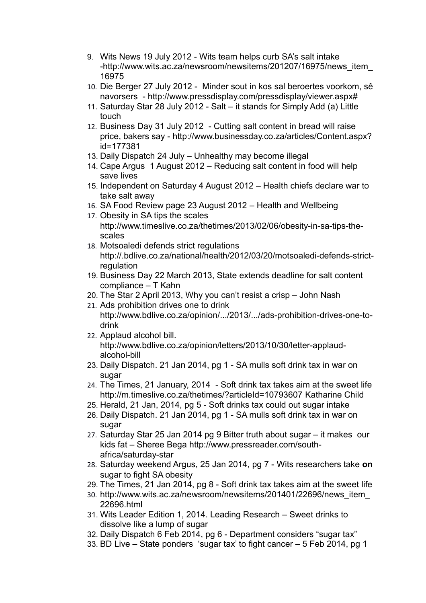- 9. Wits News 19 July 2012 Wits team helps curb SA's salt intake -http://www.wits.ac.za/newsroom/newsitems/201207/16975/news\_item\_ 16975
- 10. Die Berger 27 July 2012 Minder sout in kos sal beroertes voorkom, sê navorsers - [http://www.pressdisplay.com/pressdisplay/viewer.aspx#](http://www.pressdisplay.com/pressdisplay/viewer.aspx)
- 11. Saturday Star 28 July 2012 Salt it stands for Simply Add (a) Little touch
- 12. Business Day 31 July 2012 Cutting salt content in bread will raise price, bakers say - [http://www.businessday.co.za/articles/Content.aspx?](http://www.businessday.co.za/articles/Content.aspx?id=177381) [id=177381](http://www.businessday.co.za/articles/Content.aspx?id=177381)
- 13. Daily Dispatch 24 July Unhealthy may become illegal
- 14. Cape Argus 1 August 2012 Reducing salt content in food will help save lives
- 15. Independent on Saturday 4 August 2012 Health chiefs declare war to take salt away
- 16. [SA Food Review page 23 August 2012](http://www.wits.ac.za/files/58k40_725940001347890938.pdf)  Health and Wellbeing
- 17. Obesity in SA tips the scales [http://www.timeslive.co.za/thetimes/2013/02/06/obesity-in-sa-tips-the](http://www.timeslive.co.za/thetimes/2013/02/06/obesity-in-sa-tips-the-scales)[scales](http://www.timeslive.co.za/thetimes/2013/02/06/obesity-in-sa-tips-the-scales)
- 18. Motsoaledi defends strict regulations http://.bdlive.co.za/national/health/2012/03/20/motsoaledi-defends-strictregulation
- 19. Business Day 22 March 2013, State extends deadline for salt content compliance – T Kahn
- 20. The Star 2 April 2013, Why you can't resist a crisp John Nash
- 21. Ads prohibition drives one to drink [http://www.bdlive.co.za/opinion/.../2013/.../ads-prohibition-drives-one-to](http://www.bdlive.co.za/opinion/.../2013/.../ads-prohibition-drives-one-to-drink)[drink](http://www.bdlive.co.za/opinion/.../2013/.../ads-prohibition-drives-one-to-drink)
- 22. Applaud alcohol bill. [http://www.bdlive.co.za/opinion/letters/2013/10/30/letter-applaud](http://www.bdlive.co.za/opinion/letters/2013/10/30/letter-applaud-alcohol-bill)[alcohol-bill](http://www.bdlive.co.za/opinion/letters/2013/10/30/letter-applaud-alcohol-bill)
- 23. Daily Dispatch. 21 Jan 2014, pg 1 SA mulls soft drink tax in war on sugar
- 24. The Times, 21 January, 2014 Soft drink tax takes aim at the sweet life <http://m.timeslive.co.za/thetimes/?articleId=10793607> Katharine Child
- 25. Herald, 21 Jan, 2014, pg 5 Soft drinks tax could out sugar intake
- 26. Daily Dispatch. 21 Jan 2014, pg 1 SA mulls soft drink tax in war on sugar
- 27. Saturday Star 25 Jan 2014 pg 9 Bitter truth about sugar it makes our kids fat – Sheree Bega [http://www.pressreader.com/south](http://www.pressreader.com/south-africa/saturday-star)[africa/saturday-star](http://www.pressreader.com/south-africa/saturday-star)
- 28. Saturday weekend Argus, 25 Jan 2014, pg 7 Wits researchers take **on** sugar to fight SA obesity
- 29. The Times, 21 Jan 2014, pg 8 Soft drink tax takes aim at the sweet life
- 30. [http://www.wits.ac.za/newsroom/newsitems/201401/22696/news\\_item\\_](http://www.wits.ac.za/newsroom/newsitems/201401/22696/news_item_22696.html) [22696.html](http://www.wits.ac.za/newsroom/newsitems/201401/22696/news_item_22696.html)
- 31. Wits Leader Edition 1, 2014. Leading Research Sweet drinks to dissolve like a lump of sugar
- 32. Daily Dispatch 6 Feb 2014, pg 6 Department considers "sugar tax"
- 33. BD Live State ponders 'sugar tax' to fight cancer 5 Feb 2014, pg 1